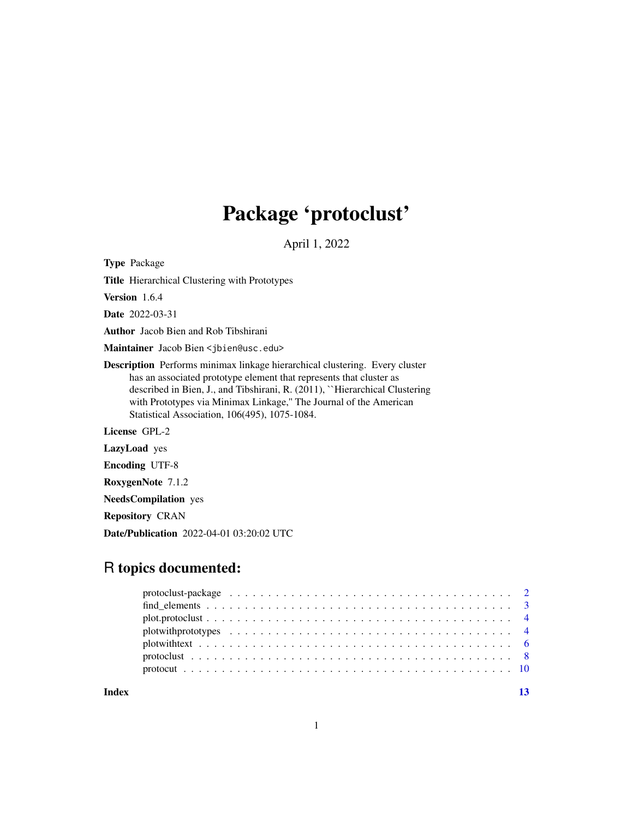## Package 'protoclust'

April 1, 2022

<span id="page-0-0"></span>Type Package

Title Hierarchical Clustering with Prototypes

Version 1.6.4

Date 2022-03-31

Author Jacob Bien and Rob Tibshirani

Maintainer Jacob Bien <jbien@usc.edu>

Description Performs minimax linkage hierarchical clustering. Every cluster has an associated prototype element that represents that cluster as described in Bien, J., and Tibshirani, R. (2011), ``Hierarchical Clustering with Prototypes via Minimax Linkage," The Journal of the American Statistical Association, 106(495), 1075-1084.

License GPL-2

LazyLoad yes

Encoding UTF-8

RoxygenNote 7.1.2

NeedsCompilation yes

Repository CRAN

Date/Publication 2022-04-01 03:20:02 UTC

### R topics documented:

**Index** [13](#page-12-0)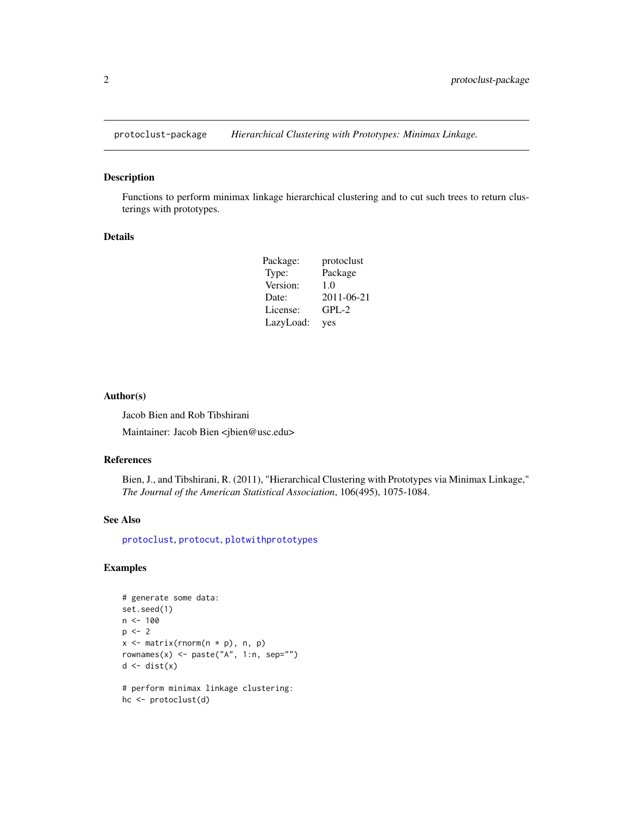<span id="page-1-0"></span>

#### Description

Functions to perform minimax linkage hierarchical clustering and to cut such trees to return clusterings with prototypes.

#### Details

| Package:  | protoclust |
|-----------|------------|
| Type:     | Package    |
| Version:  | 1.0        |
| Date:     | 2011-06-21 |
| License:  | $GPL-2$    |
| LazyLoad: | yes        |

#### Author(s)

Jacob Bien and Rob Tibshirani

Maintainer: Jacob Bien <jbien@usc.edu>

#### References

Bien, J., and Tibshirani, R. (2011), "Hierarchical Clustering with Prototypes via Minimax Linkage," *The Journal of the American Statistical Association*, 106(495), 1075-1084.

#### See Also

[protoclust](#page-7-1), [protocut](#page-9-1), [plotwithprototypes](#page-3-1)

#### Examples

```
# generate some data:
set.seed(1)
n < - 100p \le -2x \le matrix(rnorm(n * p), n, p)
rownames(x) <- paste("A", 1:n, sep="")
d \leftarrow dist(x)# perform minimax linkage clustering:
```
hc <- protoclust(d)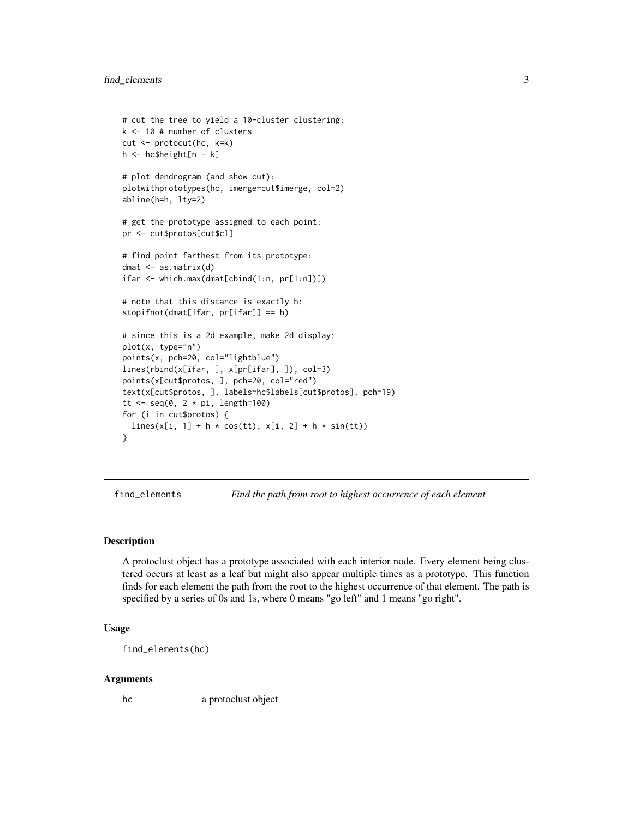```
# cut the tree to yield a 10-cluster clustering:
k <- 10 # number of clusters
cut <- protocut(hc, k=k)
h <- hc$height[n - k]
# plot dendrogram (and show cut):
plotwithprototypes(hc, imerge=cut$imerge, col=2)
abline(h=h, lty=2)
# get the prototype assigned to each point:
pr <- cut$protos[cut$cl]
# find point farthest from its prototype:
dmat <- as.matrix(d)
ifar <- which.max(dmat[cbind(1:n, pr[1:n])])
# note that this distance is exactly h:
stopifnot(dmat[ifar, pr[ifar]] == h)
# since this is a 2d example, make 2d display:
plot(x, type="n")
points(x, pch=20, col="lightblue")
lines(rbind(x[ifar, ], x[pr[ifar], ]), col=3)
points(x[cut$protos, ], pch=20, col="red")
text(x[cut$protos, ], labels=hc$labels[cut$protos], pch=19)
tt \leq seq(0, 2 * pi, length=100)
for (i in cut$protos) {
  lines(x[i, 1] + h * cos(tt), x[i, 2] + h * sin(tt))
}
```
find\_elements *Find the path from root to highest occurrence of each element*

#### Description

A protoclust object has a prototype associated with each interior node. Every element being clustered occurs at least as a leaf but might also appear multiple times as a prototype. This function finds for each element the path from the root to the highest occurrence of that element. The path is specified by a series of 0s and 1s, where 0 means "go left" and 1 means "go right".

#### Usage

find\_elements(hc)

#### Arguments

hc a protoclust object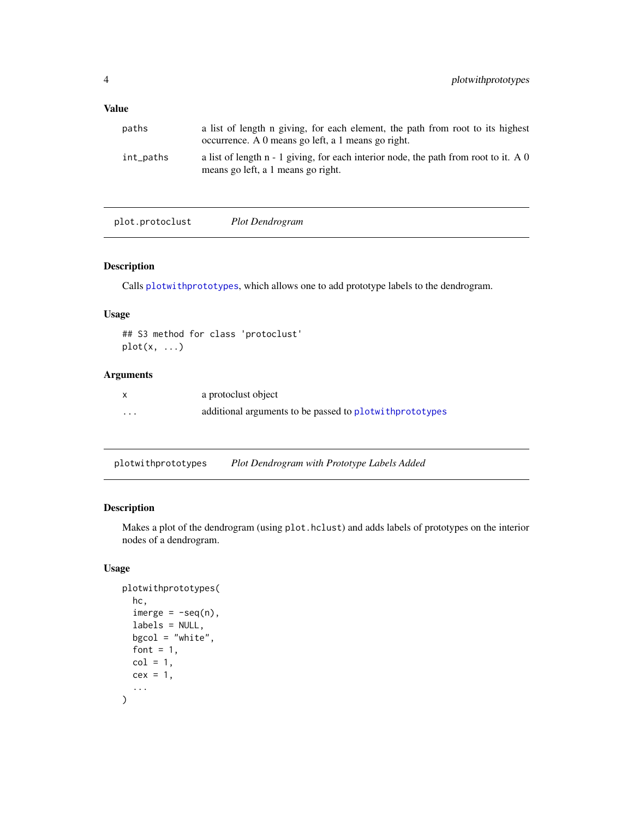#### <span id="page-3-0"></span>Value

| paths     | a list of length n giving, for each element, the path from root to its highest<br>occurrence. A 0 means go left, a 1 means go right. |
|-----------|--------------------------------------------------------------------------------------------------------------------------------------|
| int_paths | a list of length $n - 1$ giving, for each interior node, the path from root to it. A 0<br>means go left, a 1 means go right.         |

plot.protoclust *Plot Dendrogram*

#### Description

Calls [plotwithprototypes](#page-3-1), which allows one to add prototype labels to the dendrogram.

#### Usage

## S3 method for class 'protoclust'  $plot(x, \ldots)$ 

#### Arguments

|   | a protoclust object                                       |
|---|-----------------------------------------------------------|
| . | additional arguments to be passed to plot with prototypes |

<span id="page-3-1"></span>plotwithprototypes *Plot Dendrogram with Prototype Labels Added*

#### Description

Makes a plot of the dendrogram (using plot.hclust) and adds labels of prototypes on the interior nodes of a dendrogram.

#### Usage

```
plotwithprototypes(
  hc,
  imerge = -seq(n),
  labels = NULL,
  bgcd = "white",font = 1,
  col = 1,
  cex = 1,
  ...
\mathcal{E}
```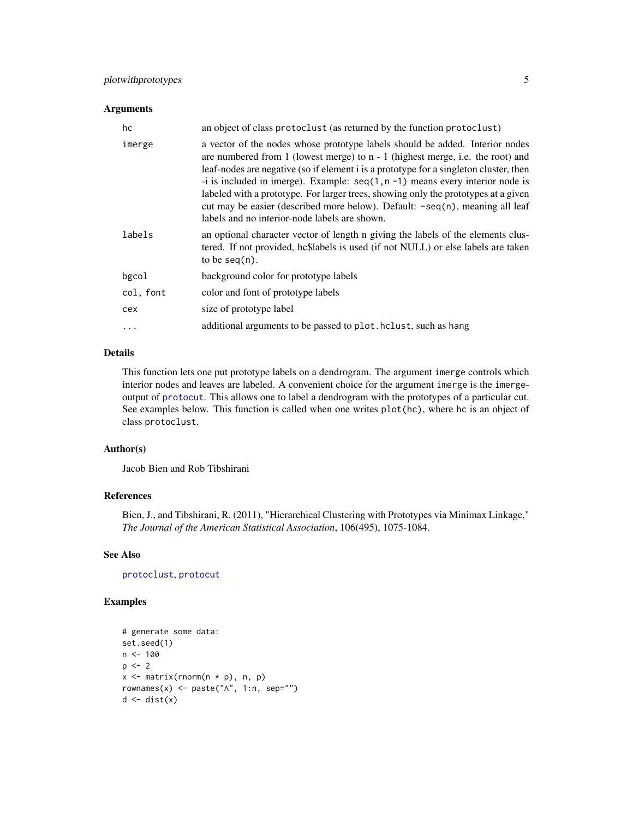#### <span id="page-4-0"></span>plotwithprototypes 5

#### Arguments

| hc        | an object of class protoclust (as returned by the function protoclust)                                                                                                                                                                                                                                                                                                                                                                                                                                                                                               |
|-----------|----------------------------------------------------------------------------------------------------------------------------------------------------------------------------------------------------------------------------------------------------------------------------------------------------------------------------------------------------------------------------------------------------------------------------------------------------------------------------------------------------------------------------------------------------------------------|
| imerge    | a vector of the nodes whose prototype labels should be added. Interior nodes<br>are numbered from 1 (lowest merge) to $n - 1$ (highest merge, i.e. the root) and<br>leaf-nodes are negative (so if element i is a prototype for a singleton cluster, then<br>-i is included in imerge). Example: $seq(1, n - 1)$ means every interior node is<br>labeled with a prototype. For larger trees, showing only the prototypes at a given<br>cut may be easier (described more below). Default: -seq(n), meaning all leaf<br>labels and no interior-node labels are shown. |
| labels    | an optional character vector of length n giving the labels of the elements clus-<br>tered. If not provided, hc\$labels is used (if not NULL) or else labels are taken<br>to be $seq(n)$ .                                                                                                                                                                                                                                                                                                                                                                            |
| bgcol     | background color for prototype labels                                                                                                                                                                                                                                                                                                                                                                                                                                                                                                                                |
| col, font | color and font of prototype labels                                                                                                                                                                                                                                                                                                                                                                                                                                                                                                                                   |
| cex       | size of prototype label                                                                                                                                                                                                                                                                                                                                                                                                                                                                                                                                              |
| $\ddots$  | additional arguments to be passed to plot. holist, such as hang                                                                                                                                                                                                                                                                                                                                                                                                                                                                                                      |

#### Details

This function lets one put prototype labels on a dendrogram. The argument imerge controls which interior nodes and leaves are labeled. A convenient choice for the argument imerge is the imergeoutput of [protocut](#page-9-1). This allows one to label a dendrogram with the prototypes of a particular cut. See examples below. This function is called when one writes plot(hc), where hc is an object of class protoclust.

#### Author(s)

Jacob Bien and Rob Tibshirani

#### References

Bien, J., and Tibshirani, R. (2011), "Hierarchical Clustering with Prototypes via Minimax Linkage," *The Journal of the American Statistical Association*, 106(495), 1075-1084.

#### See Also

[protoclust](#page-7-1), [protocut](#page-9-1)

```
# generate some data:
set.seed(1)
n < - 100p \le -2x \le matrix(rnorm(n * p), n, p)
rownames(x) <- paste("A", 1:n, sep="")
d \leftarrow dist(x)
```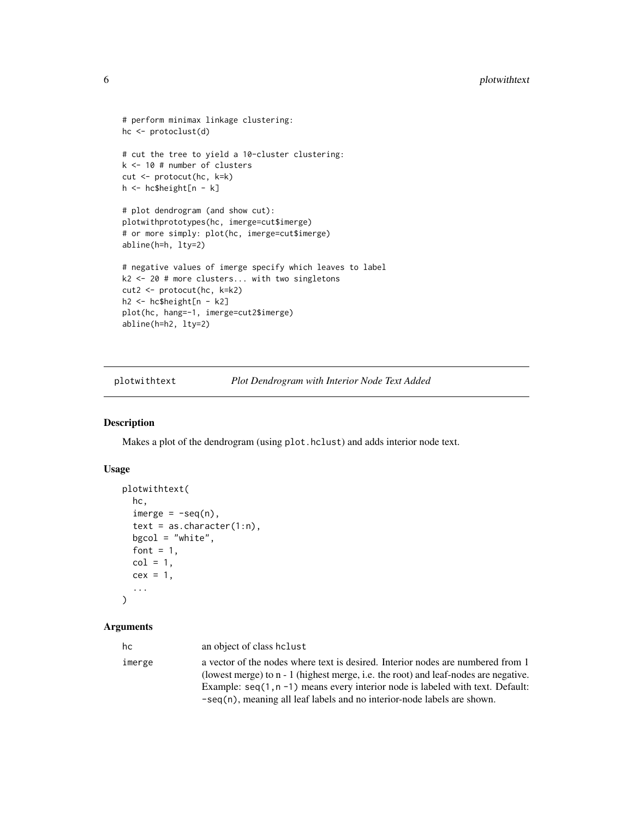```
# perform minimax linkage clustering:
hc <- protoclust(d)
# cut the tree to yield a 10-cluster clustering:
k <- 10 # number of clusters
cut <- protocut(hc, k=k)
h <- hc$height[n - k]
# plot dendrogram (and show cut):
plotwithprototypes(hc, imerge=cut$imerge)
# or more simply: plot(hc, imerge=cut$imerge)
abline(h=h, lty=2)
# negative values of imerge specify which leaves to label
k2 <- 20 # more clusters... with two singletons
cut2 <- protocut(hc, k=k2)
h2 <- hc$height[n - k2]
plot(hc, hang=-1, imerge=cut2$imerge)
abline(h=h2, lty=2)
```
plotwithtext *Plot Dendrogram with Interior Node Text Added*

#### Description

Makes a plot of the dendrogram (using plot.hclust) and adds interior node text.

#### Usage

```
plotwithtext(
  hc,
  imerge = -seq(n),
  text = as. character(1:n),
 bgcol = "white",
  font = 1,
  col = 1,
  cex = 1,
  ...
)
```
#### Arguments

| hc     | an object of class holust                                                                                                                                              |
|--------|------------------------------------------------------------------------------------------------------------------------------------------------------------------------|
| imerge | a vector of the nodes where text is desired. Interior nodes are numbered from 1<br>(lowest merge) to n - 1 (highest merge, i.e. the root) and leaf-nodes are negative. |
|        | Example: $seq(1, n - 1)$ means every interior node is labeled with text. Default:<br>$-seq(n)$ , meaning all leaf labels and no interior-node labels are shown.        |

<span id="page-5-0"></span>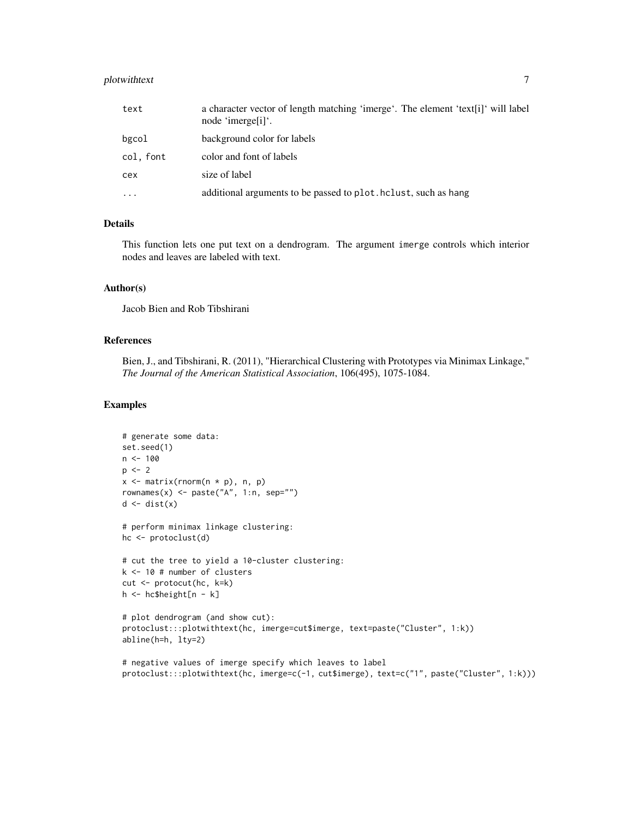#### plotwithtext 7

| text      | a character vector of length matching 'imerge'. The element 'text[i]' will label<br>node 'imerge <sup>[1]'</sup> . |
|-----------|--------------------------------------------------------------------------------------------------------------------|
| bgcol     | background color for labels                                                                                        |
| col, font | color and font of labels                                                                                           |
| cex       | size of label                                                                                                      |
| $\cdots$  | additional arguments to be passed to plot. hclust, such as hang                                                    |

#### Details

This function lets one put text on a dendrogram. The argument imerge controls which interior nodes and leaves are labeled with text.

#### Author(s)

Jacob Bien and Rob Tibshirani

#### References

Bien, J., and Tibshirani, R. (2011), "Hierarchical Clustering with Prototypes via Minimax Linkage," *The Journal of the American Statistical Association*, 106(495), 1075-1084.

```
# generate some data:
set.seed(1)
n < -100p \le -2x <- matrix(rnorm(n * p), n, p)
rownames(x) <- paste("A", 1:n, sep="")
d \leftarrow dist(x)# perform minimax linkage clustering:
hc <- protoclust(d)
# cut the tree to yield a 10-cluster clustering:
k <- 10 # number of clusters
cut <- protocut(hc, k=k)
h <- hc$height[n - k]
# plot dendrogram (and show cut):
protoclust:::plotwithtext(hc, imerge=cut$imerge, text=paste("Cluster", 1:k))
abline(h=h, lty=2)
# negative values of imerge specify which leaves to label
protoclust:::plotwithtext(hc, imerge=c(-1, cut$imerge), text=c("1", paste("Cluster", 1:k)))
```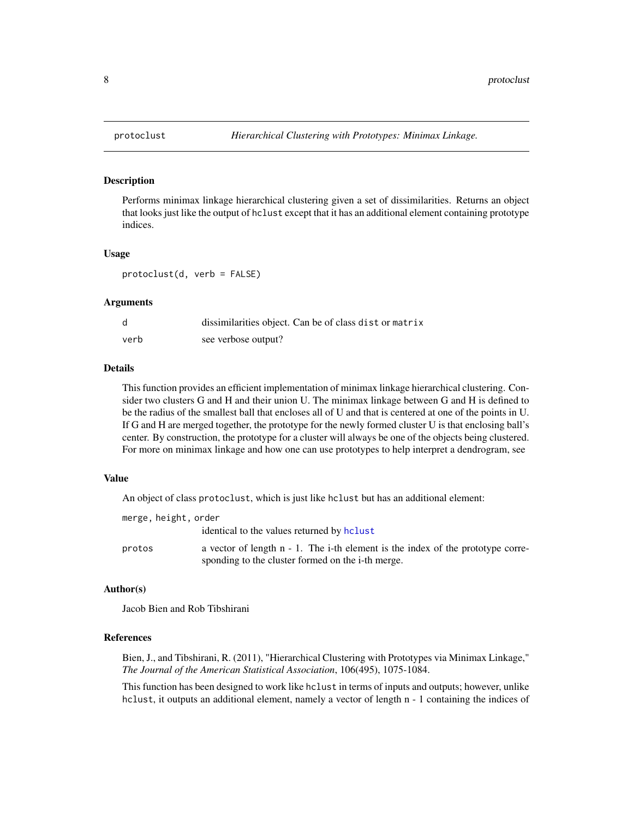<span id="page-7-1"></span><span id="page-7-0"></span>

#### Description

Performs minimax linkage hierarchical clustering given a set of dissimilarities. Returns an object that looks just like the output of hclust except that it has an additional element containing prototype indices.

#### Usage

protoclust(d, verb = FALSE)

#### Arguments

|      | dissimilarities object. Can be of class dist or matrix |
|------|--------------------------------------------------------|
| verb | see verbose output?                                    |

#### Details

This function provides an efficient implementation of minimax linkage hierarchical clustering. Consider two clusters G and H and their union U. The minimax linkage between G and H is defined to be the radius of the smallest ball that encloses all of U and that is centered at one of the points in U. If G and H are merged together, the prototype for the newly formed cluster U is that enclosing ball's center. By construction, the prototype for a cluster will always be one of the objects being clustered. For more on minimax linkage and how one can use prototypes to help interpret a dendrogram, see

#### Value

An object of class protoclust, which is just like hclust but has an additional element:

| merge, height, order |                                                                                            |
|----------------------|--------------------------------------------------------------------------------------------|
|                      | identical to the values returned by holist                                                 |
| protos               | a vector of length $n - 1$ . The <i>i</i> -th element is the index of the prototype corre- |
|                      | sponding to the cluster formed on the i-th merge.                                          |

#### Author(s)

Jacob Bien and Rob Tibshirani

#### References

Bien, J., and Tibshirani, R. (2011), "Hierarchical Clustering with Prototypes via Minimax Linkage," *The Journal of the American Statistical Association*, 106(495), 1075-1084.

This function has been designed to work like hclust in terms of inputs and outputs; however, unlike hclust, it outputs an additional element, namely a vector of length n - 1 containing the indices of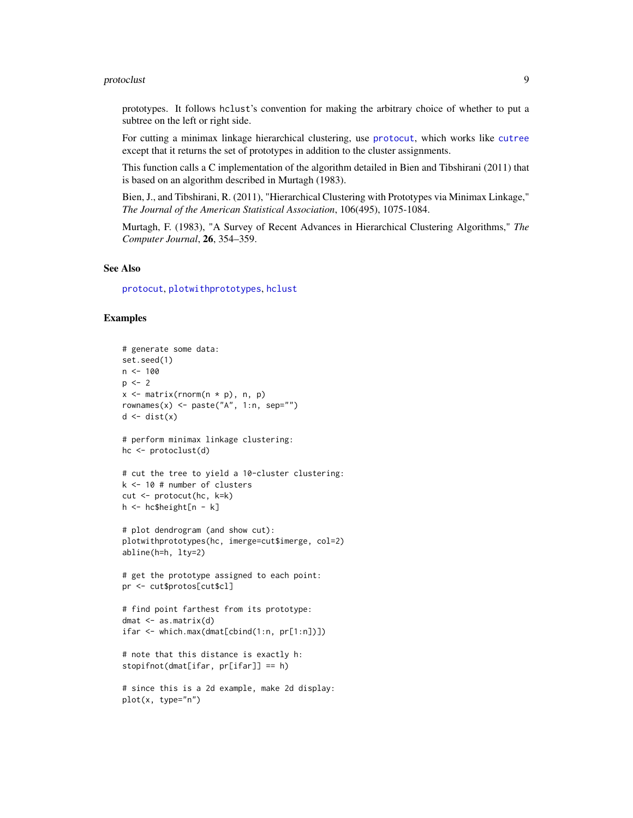#### <span id="page-8-0"></span>protoclust 90 and 200 and 200 and 200 and 200 and 200 and 200 and 200 and 200 and 200 and 200 and 200 and 200

prototypes. It follows hclust's convention for making the arbitrary choice of whether to put a subtree on the left or right side.

For cutting a minimax linkage hierarchical clustering, use [protocut](#page-9-1), which works like [cutree](#page-0-0) except that it returns the set of prototypes in addition to the cluster assignments.

This function calls a C implementation of the algorithm detailed in Bien and Tibshirani (2011) that is based on an algorithm described in Murtagh (1983).

Bien, J., and Tibshirani, R. (2011), "Hierarchical Clustering with Prototypes via Minimax Linkage," *The Journal of the American Statistical Association*, 106(495), 1075-1084.

Murtagh, F. (1983), "A Survey of Recent Advances in Hierarchical Clustering Algorithms," *The Computer Journal*, 26, 354–359.

#### See Also

[protocut](#page-9-1), [plotwithprototypes](#page-3-1), [hclust](#page-0-0)

```
# generate some data:
set.seed(1)
n < -100p \le -2x <- matrix(rnorm(n * p), n, p)
rownames(x) <- paste("A", 1:n, sep="")
d \leftarrow dist(x)# perform minimax linkage clustering:
hc <- protoclust(d)
# cut the tree to yield a 10-cluster clustering:
k <- 10 # number of clusters
cut <- protocut(hc, k=k)
h <- hc$height[n - k]
# plot dendrogram (and show cut):
plotwithprototypes(hc, imerge=cut$imerge, col=2)
abline(h=h, lty=2)
# get the prototype assigned to each point:
pr <- cut$protos[cut$cl]
# find point farthest from its prototype:
dmat <- as.matrix(d)
ifar <- which.max(dmat[cbind(1:n, pr[1:n])])
# note that this distance is exactly h:
stopifnot(dmat[ifar, pr[ifar]] == h)
# since this is a 2d example, make 2d display:
plot(x, type="n")
```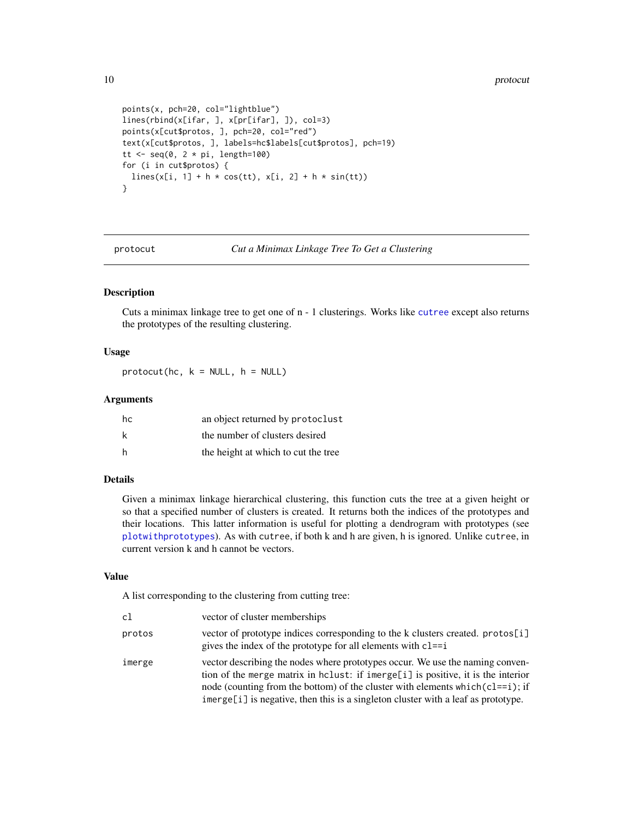#### 10 protocut experience and the protocut experience of the protocut experience of the protocut experience of the protocut experience of the protocut experience of the protocut experience of the protocut experience of the pr

```
points(x, pch=20, col="lightblue")
lines(rbind(x[ifar, ], x[pr[ifar], ]), col=3)
points(x[cut$protos, ], pch=20, col="red")
text(x[cut$protos, ], labels=hc$labels[cut$protos], pch=19)
tt \leq seq(0, 2 * pi, length=100)
for (i in cut$protos) {
  lines(x[i, 1] + h * cos(tt), x[i, 2] + h * sin(tt))
}
```
<span id="page-9-1"></span>protocut *Cut a Minimax Linkage Tree To Get a Clustering*

#### Description

Cuts a minimax linkage tree to get one of n - 1 clusterings. Works like [cutree](#page-0-0) except also returns the prototypes of the resulting clustering.

#### Usage

 $\text{protocut}(\text{hc}, \text{ k = NULL}, \text{ h = NULL})$ 

#### Arguments

| hc | an object returned by protoclust    |
|----|-------------------------------------|
| k  | the number of clusters desired      |
| h  | the height at which to cut the tree |

#### Details

Given a minimax linkage hierarchical clustering, this function cuts the tree at a given height or so that a specified number of clusters is created. It returns both the indices of the prototypes and their locations. This latter information is useful for plotting a dendrogram with prototypes (see [plotwithprototypes](#page-3-1)). As with cutree, if both k and h are given, h is ignored. Unlike cutree, in current version k and h cannot be vectors.

#### Value

A list corresponding to the clustering from cutting tree:

| c1     | vector of cluster memberships                                                                                                                                                                                                                                                                                                               |
|--------|---------------------------------------------------------------------------------------------------------------------------------------------------------------------------------------------------------------------------------------------------------------------------------------------------------------------------------------------|
| protos | vector of prototype indices corresponding to the k clusters created. protos[i]<br>gives the index of the prototype for all elements with $cl==i$                                                                                                                                                                                            |
| imerge | vector describing the nodes where prototypes occur. We use the naming conven-<br>tion of the merge matrix in holust: if imerge[i] is positive, it is the interior<br>node (counting from the bottom) of the cluster with elements which $(c = i)$ ; if<br>imerge[i] is negative, then this is a singleton cluster with a leaf as prototype. |

<span id="page-9-0"></span>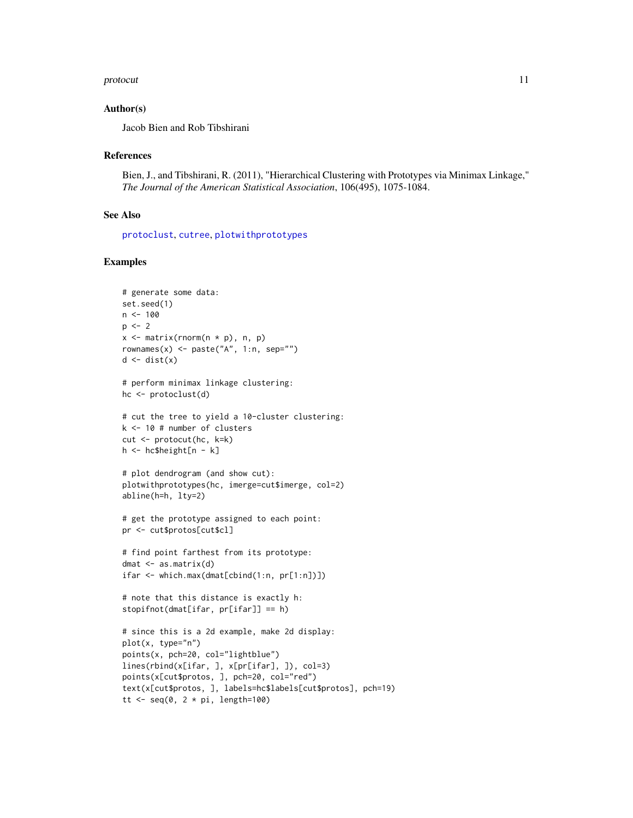#### <span id="page-10-0"></span>protocut that the contract of the contract of the contract of the contract of the contract of the contract of the contract of the contract of the contract of the contract of the contract of the contract of the contract of

#### Author(s)

Jacob Bien and Rob Tibshirani

#### References

Bien, J., and Tibshirani, R. (2011), "Hierarchical Clustering with Prototypes via Minimax Linkage," *The Journal of the American Statistical Association*, 106(495), 1075-1084.

#### See Also

[protoclust](#page-7-1), [cutree](#page-0-0), [plotwithprototypes](#page-3-1)

```
# generate some data:
set.seed(1)
n < - 100p \le -2x \leq matrix(rnorm(n * p), n, p)
rownames(x) <- paste("A", 1:n, sep="")
d \leftarrow dist(x)# perform minimax linkage clustering:
hc <- protoclust(d)
# cut the tree to yield a 10-cluster clustering:
k <- 10 # number of clusters
cut <- protocut(hc, k=k)
h <- hc$height[n - k]
# plot dendrogram (and show cut):
plotwithprototypes(hc, imerge=cut$imerge, col=2)
abline(h=h, lty=2)
# get the prototype assigned to each point:
pr <- cut$protos[cut$cl]
# find point farthest from its prototype:
dmat <- as.matrix(d)
ifar <- which.max(dmat[cbind(1:n, pr[1:n])])
# note that this distance is exactly h:
stopifnot(dmat[ifar, pr[ifar]] == h)
# since this is a 2d example, make 2d display:
plot(x, type="n")
points(x, pch=20, col="lightblue")
lines(rbind(x[ifar, ], x[pr[ifar], ]), col=3)
points(x[cut$protos, ], pch=20, col="red")
text(x[cut$protos, ], labels=hc$labels[cut$protos], pch=19)
tt \leq seq(0, 2 * pi, length=100)
```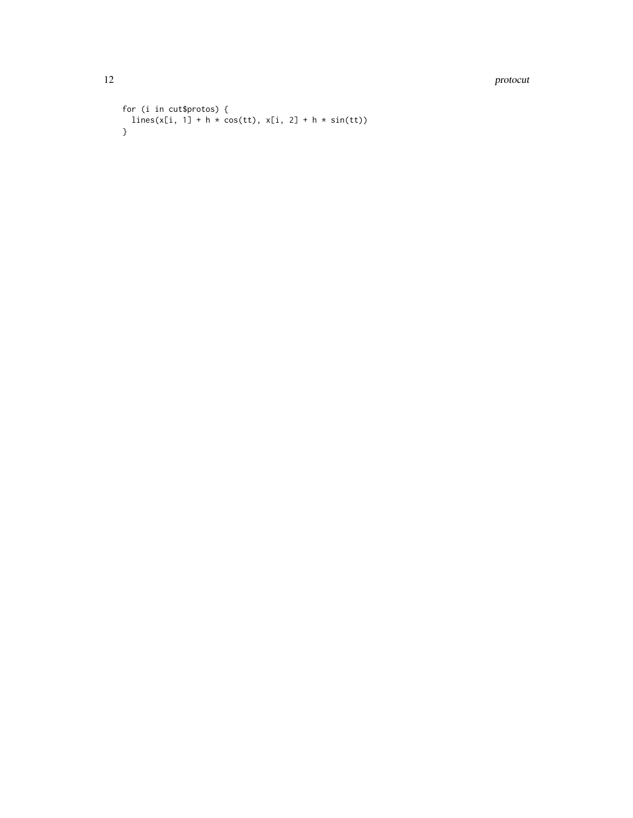12 protocut extensive protocut extensive protocut extensive protocut extensive protocut extensive protocut extensive protocut.

```
for (i in cut$protos) {
lines(x[i, 1] + h * cos(tt), x[i, 2] + h * sin(tt))}
```